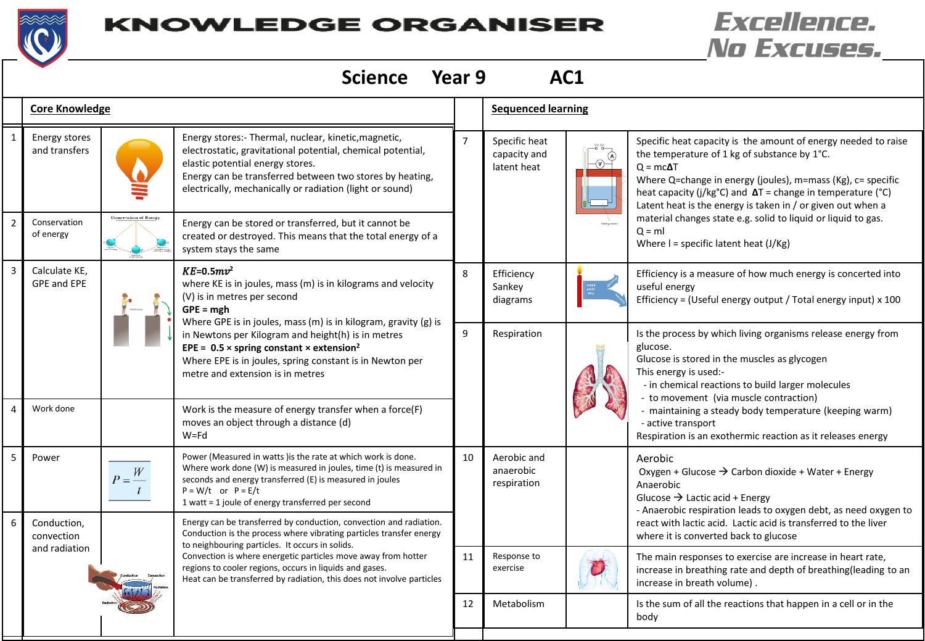

## **KNOWLEDGE ORGANISER**

## **Excellence.** No Excuses.

|                | Year 9<br><b>Science</b><br>AC1            |            |                                                                                                                                                                                                                                                                                                                                                                                                                             |                |                                              |  |                                                                                                                                                                                                                                                                                                                                                                                                                                                                  |  |  |  |  |
|----------------|--------------------------------------------|------------|-----------------------------------------------------------------------------------------------------------------------------------------------------------------------------------------------------------------------------------------------------------------------------------------------------------------------------------------------------------------------------------------------------------------------------|----------------|----------------------------------------------|--|------------------------------------------------------------------------------------------------------------------------------------------------------------------------------------------------------------------------------------------------------------------------------------------------------------------------------------------------------------------------------------------------------------------------------------------------------------------|--|--|--|--|
|                | <b>Core Knowledge</b>                      |            |                                                                                                                                                                                                                                                                                                                                                                                                                             |                | <b>Sequenced learning</b>                    |  |                                                                                                                                                                                                                                                                                                                                                                                                                                                                  |  |  |  |  |
| $\mathbf{1}$   | Energy stores<br>and transfers             |            | Energy stores:- Thermal, nuclear, kinetic, magnetic,<br>electrostatic, gravitational potential, chemical potential,<br>elastic potential energy stores.<br>Energy can be transferred between two stores by heating,<br>electrically, mechanically or radiation (light or sound)                                                                                                                                             | $\overline{7}$ | Specific heat<br>capacity and<br>latent heat |  | Specific heat capacity is the amount of energy needed to raise<br>the temperature of 1 kg of substance by 1°C.<br>$Q = mc\Delta T$<br>Where Q=change in energy (joules), m=mass (Kg), c= specific<br>heat capacity (j/kg°C) and $\Delta T$ = change in temperature (°C)<br>Latent heat is the energy is taken in / or given out when a<br>material changes state e.g. solid to liquid or liquid to gas.<br>$Q = ml$<br>Where $I =$ specific latent heat $(J/Kg)$ |  |  |  |  |
| $\overline{2}$ | Conservation<br>of energy                  |            | Energy can be stored or transferred, but it cannot be<br>created or destroyed. This means that the total energy of a<br>system stays the same                                                                                                                                                                                                                                                                               |                |                                              |  |                                                                                                                                                                                                                                                                                                                                                                                                                                                                  |  |  |  |  |
| 3              | Calculate KE,<br><b>GPE and EPE</b>        |            | $KE = 0.5mv^2$<br>where KE is in joules, mass (m) is in kilograms and velocity<br>(V) is in metres per second<br>$GPE = mgh$<br>Where GPE is in joules, mass (m) is in kilogram, gravity (g) is<br>in Newtons per Kilogram and height(h) is in metres<br>EPE = $0.5 \times$ spring constant $\times$ extension <sup>2</sup><br>Where EPE is in joules, spring constant is in Newton per<br>metre and extension is in metres | 8              | Efficiency<br>Sankey<br>diagrams             |  | Efficiency is a measure of how much energy is concerted into<br>useful energy<br>Efficiency = (Useful energy output / Total energy input) x 100                                                                                                                                                                                                                                                                                                                  |  |  |  |  |
|                |                                            |            |                                                                                                                                                                                                                                                                                                                                                                                                                             | 9              | Respiration                                  |  | Is the process by which living organisms release energy from<br>glucose.<br>Glucose is stored in the muscles as glycogen<br>This energy is used:-<br>- in chemical reactions to build larger molecules<br>- to movement (via muscle contraction)<br>- maintaining a steady body temperature (keeping warm)<br>- active transport<br>Respiration is an exothermic reaction as it releases energy                                                                  |  |  |  |  |
|                | Work done                                  |            | Work is the measure of energy transfer when a force(F)<br>moves an object through a distance (d)<br>$W = Fd$                                                                                                                                                                                                                                                                                                                |                |                                              |  |                                                                                                                                                                                                                                                                                                                                                                                                                                                                  |  |  |  |  |
| 5              | Power                                      | W<br>$P =$ | Power (Measured in watts) is the rate at which work is done.<br>Where work done (W) is measured in joules, time (t) is measured in<br>seconds and energy transferred (E) is measured in joules<br>$P = W/t$ or $P = E/t$<br>1 watt = 1 joule of energy transferred per second                                                                                                                                               | 10             | Aerobic and<br>anaerobic<br>respiration      |  | Aerobic<br>Oxygen + Glucose $\rightarrow$ Carbon dioxide + Water + Energy<br>Anaerobic<br>Glucose $\rightarrow$ Lactic acid + Energy<br>- Anaerobic respiration leads to oxygen debt, as need oxygen to                                                                                                                                                                                                                                                          |  |  |  |  |
|                | Conduction,<br>convection<br>and radiation |            | Energy can be transferred by conduction, convection and radiation.<br>Conduction is the process where vibrating particles transfer energy<br>to neighbouring particles. It occurs in solids.<br>Convection is where energetic particles move away from hotter<br>regions to cooler regions, occurs in liquids and gases.<br>Heat can be transferred by radiation, this does not involve particles                           |                |                                              |  | react with lactic acid. Lactic acid is transferred to the liver<br>where it is converted back to glucose                                                                                                                                                                                                                                                                                                                                                         |  |  |  |  |
|                |                                            |            |                                                                                                                                                                                                                                                                                                                                                                                                                             | 11             | Response to<br>exercise                      |  | The main responses to exercise are increase in heart rate,<br>increase in breathing rate and depth of breathing(leading to an<br>increase in breath volume).                                                                                                                                                                                                                                                                                                     |  |  |  |  |
|                |                                            |            |                                                                                                                                                                                                                                                                                                                                                                                                                             | 12             | Metabolism                                   |  | Is the sum of all the reactions that happen in a cell or in the<br>body                                                                                                                                                                                                                                                                                                                                                                                          |  |  |  |  |
|                |                                            |            |                                                                                                                                                                                                                                                                                                                                                                                                                             |                |                                              |  |                                                                                                                                                                                                                                                                                                                                                                                                                                                                  |  |  |  |  |

⊣